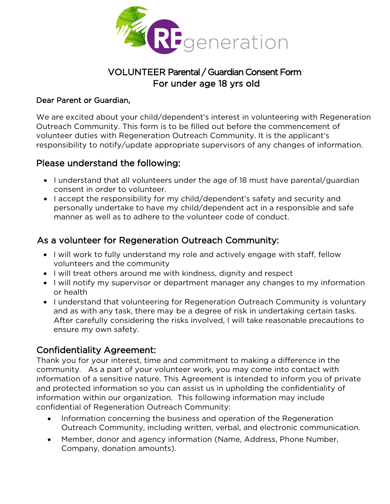

# VOLUNTEER Parental / Guardian Consent Form For under age 18 yrs old

#### Dear Parent or Guardian,

We are excited about your child/dependent's interest in volunteering with Regeneration Outreach Community. This form is to be filled out before the commencement of volunteer duties with Regeneration Outreach Community. It is the applicant's responsibility to notify/update appropriate supervisors of any changes of information.

## Please understand the following:

- I understand that all volunteers under the age of 18 must have parental/guardian consent in order to volunteer.
- I accept the responsibility for my child/dependent's safety and security and personally undertake to have my child/dependent act in a responsible and safe manner as well as to adhere to the volunteer code of conduct.

## As a volunteer for Regeneration Outreach Community:

- I will work to fully understand my role and actively engage with staff, fellow volunteers and the community
- I will treat others around me with kindness, dignity and respect
- I will notify my supervisor or department manager any changes to my information or health
- I understand that volunteering for Regeneration Outreach Community is voluntary and as with any task, there may be a degree of risk in undertaking certain tasks. After carefully considering the risks involved, I will take reasonable precautions to ensure my own safety.

## Confidentiality Agreement:

Thank you for your interest, time and commitment to making a difference in the community. As a part of your volunteer work, you may come into contact with information of a sensitive nature. This Agreement is intended to inform you of private and protected information so you can assist us in upholding the confidentiality of information within our organization. This following information may include confidential of Regeneration Outreach Community:

- Information concerning the business and operation of the Regeneration Outreach Community, including written, verbal, and electronic communication.
- Member, donor and agency information (Name, Address, Phone Number, Company, donation amounts).